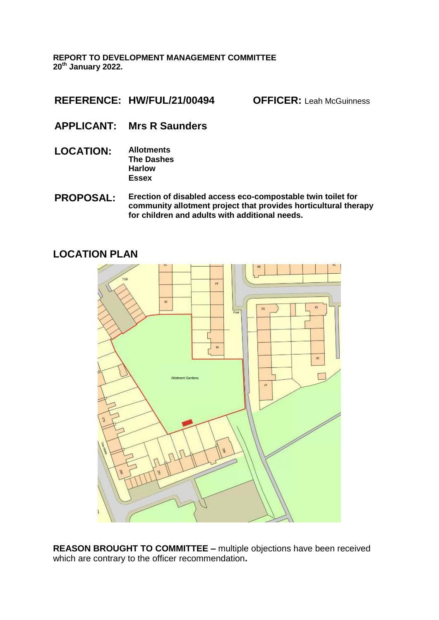**REPORT TO DEVELOPMENT MANAGEMENT COMMITTEE 20th January 2022.** 

**REFERENCE: HW/FUL/21/00494 OFFICER:** Leah McGuinness

- **APPLICANT: Mrs R Saunders**
- **LOCATION: Allotments The Dashes Harlow Essex**
- **PROPOSAL: Erection of disabled access eco-compostable twin toilet for community allotment project that provides horticultural therapy for children and adults with additional needs.**

### **LOCATION PLAN**



**REASON BROUGHT TO COMMITTEE –** multiple objections have been received which are contrary to the officer recommendation**.**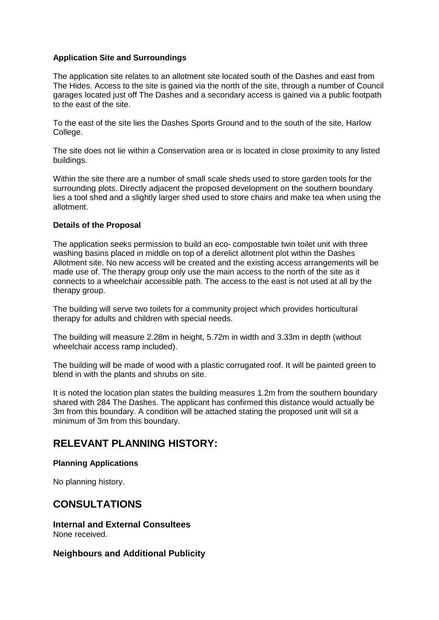### **Application Site and Surroundings**

The application site relates to an allotment site located south of the Dashes and east from The Hides. Access to the site is gained via the north of the site, through a number of Council garages located just off The Dashes and a secondary access is gained via a public footpath to the east of the site.

To the east of the site lies the Dashes Sports Ground and to the south of the site, Harlow College.

The site does not lie within a Conservation area or is located in close proximity to any listed buildings.

Within the site there are a number of small scale sheds used to store garden tools for the surrounding plots. Directly adjacent the proposed development on the southern boundary lies a tool shed and a slightly larger shed used to store chairs and make tea when using the allotment.

### **Details of the Proposal**

The application seeks permission to build an eco- compostable twin toilet unit with three washing basins placed in middle on top of a derelict allotment plot within the Dashes Allotment site. No new access will be created and the existing access arrangements will be made use of. The therapy group only use the main access to the north of the site as it connects to a wheelchair accessible path. The access to the east is not used at all by the therapy group.

The building will serve two toilets for a community project which provides horticultural therapy for adults and children with special needs.

The building will measure 2.28m in height, 5.72m in width and 3.33m in depth (without wheelchair access ramp included).

The building will be made of wood with a plastic corrugated roof. It will be painted green to blend in with the plants and shrubs on site.

It is noted the location plan states the building measures 1.2m from the southern boundary shared with 284 The Dashes. The applicant has confirmed this distance would actually be 3m from this boundary. A condition will be attached stating the proposed unit will sit a minimum of 3m from this boundary.

## **RELEVANT PLANNING HISTORY:**

#### **Planning Applications**

No planning history.

### **CONSULTATIONS**

**Internal and External Consultees** None received.

### **Neighbours and Additional Publicity**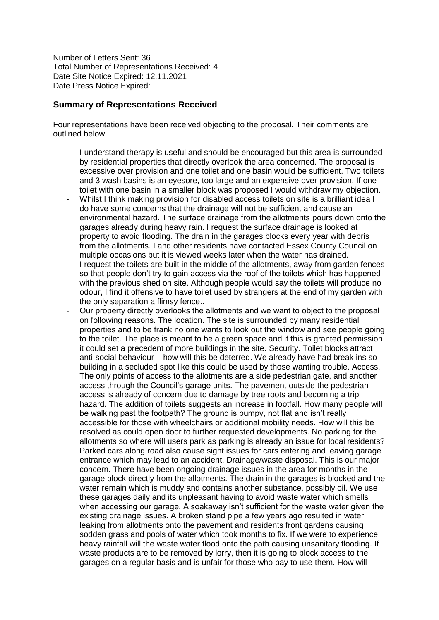Number of Letters Sent: 36 Total Number of Representations Received: 4 Date Site Notice Expired: 12.11.2021 Date Press Notice Expired:

### **Summary of Representations Received**

Four representations have been received objecting to the proposal. Their comments are outlined below;

- I understand therapy is useful and should be encouraged but this area is surrounded by residential properties that directly overlook the area concerned. The proposal is excessive over provision and one toilet and one basin would be sufficient. Two toilets and 3 wash basins is an eyesore, too large and an expensive over provision. If one toilet with one basin in a smaller block was proposed I would withdraw my objection.
- Whilst I think making provision for disabled access toilets on site is a brilliant idea I do have some concerns that the drainage will not be sufficient and cause an environmental hazard. The surface drainage from the allotments pours down onto the garages already during heavy rain. I request the surface drainage is looked at property to avoid flooding. The drain in the garages blocks every year with debris from the allotments. I and other residents have contacted Essex County Council on multiple occasions but it is viewed weeks later when the water has drained.
- I request the toilets are built in the middle of the allotments, away from garden fences so that people don't try to gain access via the roof of the toilets which has happened with the previous shed on site. Although people would say the toilets will produce no odour, I find it offensive to have toilet used by strangers at the end of my garden with the only separation a flimsy fence..
- Our property directly overlooks the allotments and we want to object to the proposal on following reasons. The location. The site is surrounded by many residential properties and to be frank no one wants to look out the window and see people going to the toilet. The place is meant to be a green space and if this is granted permission it could set a precedent of more buildings in the site. Security. Toilet blocks attract anti-social behaviour – how will this be deterred. We already have had break ins so building in a secluded spot like this could be used by those wanting trouble. Access. The only points of access to the allotments are a side pedestrian gate, and another access through the Council's garage units. The pavement outside the pedestrian access is already of concern due to damage by tree roots and becoming a trip hazard. The addition of toilets suggests an increase in footfall. How many people will be walking past the footpath? The ground is bumpy, not flat and isn't really accessible for those with wheelchairs or additional mobility needs. How will this be resolved as could open door to further requested developments. No parking for the allotments so where will users park as parking is already an issue for local residents? Parked cars along road also cause sight issues for cars entering and leaving garage entrance which may lead to an accident. Drainage/waste disposal. This is our major concern. There have been ongoing drainage issues in the area for months in the garage block directly from the allotments. The drain in the garages is blocked and the water remain which is muddy and contains another substance, possibly oil. We use these garages daily and its unpleasant having to avoid waste water which smells when accessing our garage. A soakaway isn't sufficient for the waste water given the existing drainage issues. A broken stand pipe a few years ago resulted in water leaking from allotments onto the pavement and residents front gardens causing sodden grass and pools of water which took months to fix. If we were to experience heavy rainfall will the waste water flood onto the path causing unsanitary flooding. If waste products are to be removed by lorry, then it is going to block access to the garages on a regular basis and is unfair for those who pay to use them. How will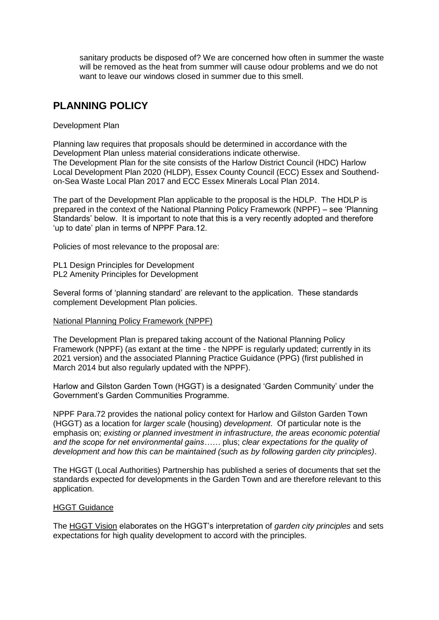sanitary products be disposed of? We are concerned how often in summer the waste will be removed as the heat from summer will cause odour problems and we do not want to leave our windows closed in summer due to this smell.

# **PLANNING POLICY**

### Development Plan

Planning law requires that proposals should be determined in accordance with the Development Plan unless material considerations indicate otherwise. The Development Plan for the site consists of the Harlow District Council (HDC) Harlow Local Development Plan 2020 (HLDP), Essex County Council (ECC) Essex and Southendon-Sea Waste Local Plan 2017 and ECC Essex Minerals Local Plan 2014.

The part of the Development Plan applicable to the proposal is the HDLP. The HDLP is prepared in the context of the National Planning Policy Framework (NPPF) – see 'Planning Standards' below. It is important to note that this is a very recently adopted and therefore 'up to date' plan in terms of NPPF Para.12.

Policies of most relevance to the proposal are:

PL1 Design Principles for Development PL2 Amenity Principles for Development

Several forms of 'planning standard' are relevant to the application. These standards complement Development Plan policies.

### National Planning Policy Framework (NPPF)

The Development Plan is prepared taking account of the National Planning Policy Framework (NPPF) (as extant at the time - the NPPF is regularly updated; currently in its 2021 version) and the associated Planning Practice Guidance (PPG) (first published in March 2014 but also regularly updated with the NPPF).

Harlow and Gilston Garden Town (HGGT) is a designated 'Garden Community' under the Government's Garden Communities Programme.

NPPF Para.72 provides the national policy context for Harlow and Gilston Garden Town (HGGT) as a location for *larger scale* (housing) *development*. Of particular note is the emphasis on; *existing or planned investment in infrastructure, the areas economic potential and the scope for net environmental gains……* plus; *clear expectations for the quality of development and how this can be maintained (such as by following garden city principles)*.

The HGGT (Local Authorities) Partnership has published a series of documents that set the standards expected for developments in the Garden Town and are therefore relevant to this application.

### HGGT Guidance

The HGGT Vision elaborates on the HGGT's interpretation of *garden city principles* and sets expectations for high quality development to accord with the principles.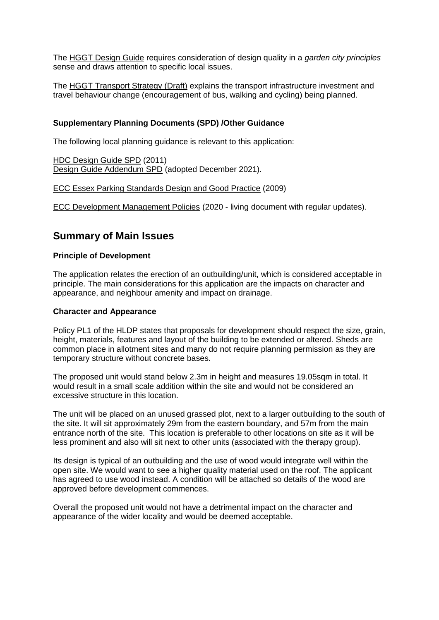The HGGT Design Guide requires consideration of design quality in a *garden city principles* sense and draws attention to specific local issues.

The HGGT Transport Strategy (Draft) explains the transport infrastructure investment and travel behaviour change (encouragement of bus, walking and cycling) being planned.

### **Supplementary Planning Documents (SPD) /Other Guidance**

The following local planning guidance is relevant to this application:

HDC Design Guide SPD (2011) Design Guide Addendum SPD (adopted December 2021).

ECC Essex Parking Standards Design and Good Practice (2009)

ECC Development Management Policies (2020 - living document with regular updates).

### **Summary of Main Issues**

#### **Principle of Development**

The application relates the erection of an outbuilding/unit, which is considered acceptable in principle. The main considerations for this application are the impacts on character and appearance, and neighbour amenity and impact on drainage.

#### **Character and Appearance**

Policy PL1 of the HLDP states that proposals for development should respect the size, grain, height, materials, features and layout of the building to be extended or altered. Sheds are common place in allotment sites and many do not require planning permission as they are temporary structure without concrete bases.

The proposed unit would stand below 2.3m in height and measures 19.05sqm in total. It would result in a small scale addition within the site and would not be considered an excessive structure in this location.

The unit will be placed on an unused grassed plot, next to a larger outbuilding to the south of the site. It will sit approximately 29m from the eastern boundary, and 57m from the main entrance north of the site. This location is preferable to other locations on site as it will be less prominent and also will sit next to other units (associated with the therapy group).

Its design is typical of an outbuilding and the use of wood would integrate well within the open site. We would want to see a higher quality material used on the roof. The applicant has agreed to use wood instead. A condition will be attached so details of the wood are approved before development commences.

Overall the proposed unit would not have a detrimental impact on the character and appearance of the wider locality and would be deemed acceptable.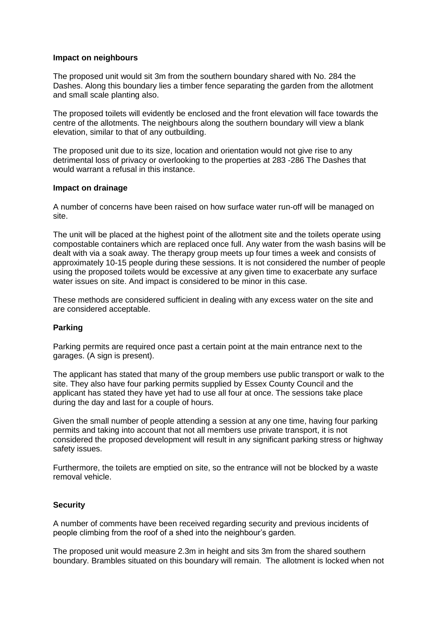#### **Impact on neighbours**

The proposed unit would sit 3m from the southern boundary shared with No. 284 the Dashes. Along this boundary lies a timber fence separating the garden from the allotment and small scale planting also.

The proposed toilets will evidently be enclosed and the front elevation will face towards the centre of the allotments. The neighbours along the southern boundary will view a blank elevation, similar to that of any outbuilding.

The proposed unit due to its size, location and orientation would not give rise to any detrimental loss of privacy or overlooking to the properties at 283 -286 The Dashes that would warrant a refusal in this instance.

#### **Impact on drainage**

A number of concerns have been raised on how surface water run-off will be managed on site.

The unit will be placed at the highest point of the allotment site and the toilets operate using compostable containers which are replaced once full. Any water from the wash basins will be dealt with via a soak away. The therapy group meets up four times a week and consists of approximately 10-15 people during these sessions. It is not considered the number of people using the proposed toilets would be excessive at any given time to exacerbate any surface water issues on site. And impact is considered to be minor in this case.

These methods are considered sufficient in dealing with any excess water on the site and are considered acceptable.

### **Parking**

Parking permits are required once past a certain point at the main entrance next to the garages. (A sign is present).

The applicant has stated that many of the group members use public transport or walk to the site. They also have four parking permits supplied by Essex County Council and the applicant has stated they have yet had to use all four at once. The sessions take place during the day and last for a couple of hours.

Given the small number of people attending a session at any one time, having four parking permits and taking into account that not all members use private transport, it is not considered the proposed development will result in any significant parking stress or highway safety issues.

Furthermore, the toilets are emptied on site, so the entrance will not be blocked by a waste removal vehicle.

### **Security**

A number of comments have been received regarding security and previous incidents of people climbing from the roof of a shed into the neighbour's garden.

The proposed unit would measure 2.3m in height and sits 3m from the shared southern boundary. Brambles situated on this boundary will remain. The allotment is locked when not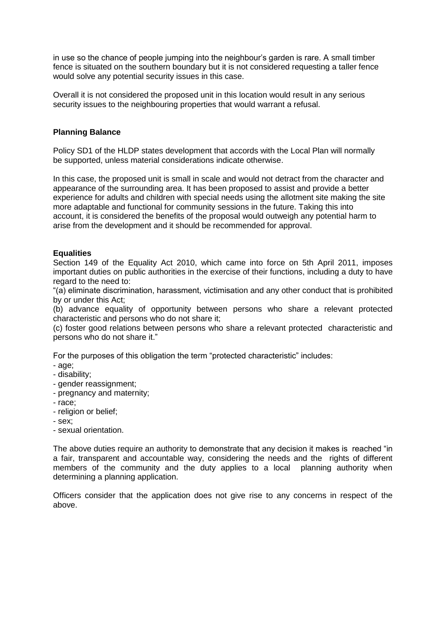in use so the chance of people jumping into the neighbour's garden is rare. A small timber fence is situated on the southern boundary but it is not considered requesting a taller fence would solve any potential security issues in this case.

Overall it is not considered the proposed unit in this location would result in any serious security issues to the neighbouring properties that would warrant a refusal.

### **Planning Balance**

Policy SD1 of the HLDP states development that accords with the Local Plan will normally be supported, unless material considerations indicate otherwise.

In this case, the proposed unit is small in scale and would not detract from the character and appearance of the surrounding area. It has been proposed to assist and provide a better experience for adults and children with special needs using the allotment site making the site more adaptable and functional for community sessions in the future. Taking this into account, it is considered the benefits of the proposal would outweigh any potential harm to arise from the development and it should be recommended for approval.

### **Equalities**

Section 149 of the Equality Act 2010, which came into force on 5th April 2011, imposes important duties on public authorities in the exercise of their functions, including a duty to have regard to the need to:

"(a) eliminate discrimination, harassment, victimisation and any other conduct that is prohibited by or under this Act;

(b) advance equality of opportunity between persons who share a relevant protected characteristic and persons who do not share it;

(c) foster good relations between persons who share a relevant protected characteristic and persons who do not share it."

For the purposes of this obligation the term "protected characteristic" includes:

- age;
- disability;
- gender reassignment;
- pregnancy and maternity;
- race;
- religion or belief;
- sex;
- sexual orientation.

The above duties require an authority to demonstrate that any decision it makes is reached "in a fair, transparent and accountable way, considering the needs and the rights of different members of the community and the duty applies to a local planning authority when determining a planning application.

Officers consider that the application does not give rise to any concerns in respect of the above.